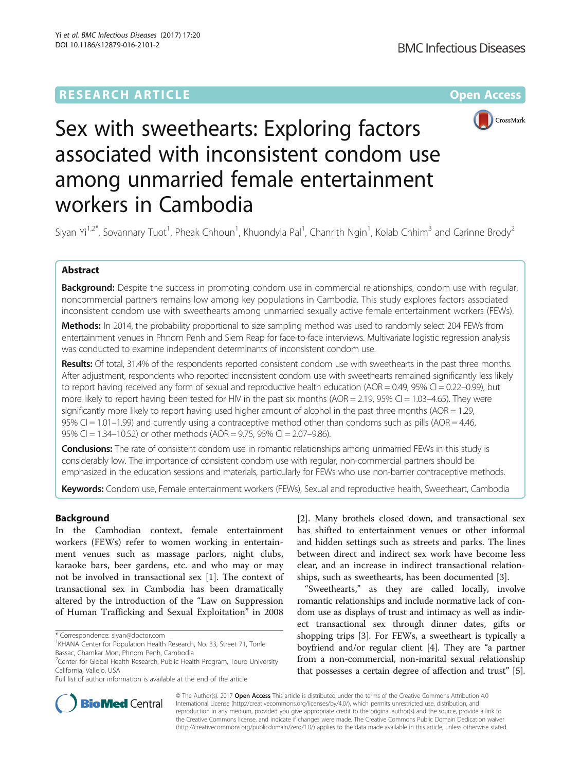# **RESEARCH ARTICLE Example 2014 12:30 The Community Community Community Community Community Community Community**



# Sex with sweethearts: Exploring factors associated with inconsistent condom use among unmarried female entertainment workers in Cambodia

Siyan Yi<sup>1,2\*</sup>, Sovannary Tuot<sup>1</sup>, Pheak Chhoun<sup>1</sup>, Khuondyla Pal<sup>1</sup>, Chanrith Ngin<sup>1</sup>, Kolab Chhim<sup>3</sup> and Carinne Brody<sup>2</sup>

# Abstract

Background: Despite the success in promoting condom use in commercial relationships, condom use with regular, noncommercial partners remains low among key populations in Cambodia. This study explores factors associated inconsistent condom use with sweethearts among unmarried sexually active female entertainment workers (FEWs).

Methods: In 2014, the probability proportional to size sampling method was used to randomly select 204 FEWs from entertainment venues in Phnom Penh and Siem Reap for face-to-face interviews. Multivariate logistic regression analysis was conducted to examine independent determinants of inconsistent condom use.

Results: Of total, 31.4% of the respondents reported consistent condom use with sweethearts in the past three months. After adjustment, respondents who reported inconsistent condom use with sweethearts remained significantly less likely to report having received any form of sexual and reproductive health education (AOR = 0.49, 95% CI = 0.22–0.99), but more likely to report having been tested for HIV in the past six months (AOR = 2.19, 95% CI = 1.03-4.65). They were significantly more likely to report having used higher amount of alcohol in the past three months (AOR = 1.29, 95% CI = 1.01–1.99) and currently using a contraceptive method other than condoms such as pills (AOR = 4.46, 95% CI = 1.34–10.52) or other methods (AOR = 9.75, 95% CI = 2.07–9.86).

**Conclusions:** The rate of consistent condom use in romantic relationships among unmarried FEWs in this study is considerably low. The importance of consistent condom use with regular, non-commercial partners should be emphasized in the education sessions and materials, particularly for FEWs who use non-barrier contraceptive methods.

Keywords: Condom use, Female entertainment workers (FEWs), Sexual and reproductive health, Sweetheart, Cambodia

# Background

In the Cambodian context, female entertainment workers (FEWs) refer to women working in entertainment venues such as massage parlors, night clubs, karaoke bars, beer gardens, etc. and who may or may not be involved in transactional sex [[1\]](#page-7-0). The context of transactional sex in Cambodia has been dramatically altered by the introduction of the "Law on Suppression of Human Trafficking and Sexual Exploitation" in 2008

[[2\]](#page-7-0). Many brothels closed down, and transactional sex has shifted to entertainment venues or other informal and hidden settings such as streets and parks. The lines between direct and indirect sex work have become less clear, and an increase in indirect transactional relationships, such as sweethearts, has been documented [\[3](#page-7-0)].

"Sweethearts," as they are called locally, involve romantic relationships and include normative lack of condom use as displays of trust and intimacy as well as indirect transactional sex through dinner dates, gifts or shopping trips [\[3](#page-7-0)]. For FEWs, a sweetheart is typically a boyfriend and/or regular client [[4\]](#page-7-0). They are "a partner from a non-commercial, non-marital sexual relationship that possesses a certain degree of affection and trust" [[5](#page-7-0)].



© The Author(s). 2017 **Open Access** This article is distributed under the terms of the Creative Commons Attribution 4.0 International License [\(http://creativecommons.org/licenses/by/4.0/](http://creativecommons.org/licenses/by/4.0/)), which permits unrestricted use, distribution, and reproduction in any medium, provided you give appropriate credit to the original author(s) and the source, provide a link to the Creative Commons license, and indicate if changes were made. The Creative Commons Public Domain Dedication waiver [\(http://creativecommons.org/publicdomain/zero/1.0/](http://creativecommons.org/publicdomain/zero/1.0/)) applies to the data made available in this article, unless otherwise stated.

<sup>\*</sup> Correspondence: [siyan@doctor.com](mailto:siyan@doctor.com) <sup>1</sup>

<sup>&</sup>lt;sup>1</sup>KHANA Center for Population Health Research, No. 33, Street 71, Tonle Bassac, Chamkar Mon, Phnom Penh, Cambodia

<sup>&</sup>lt;sup>2</sup>Center for Global Health Research, Public Health Program, Touro University California, Vallejo, USA

Full list of author information is available at the end of the article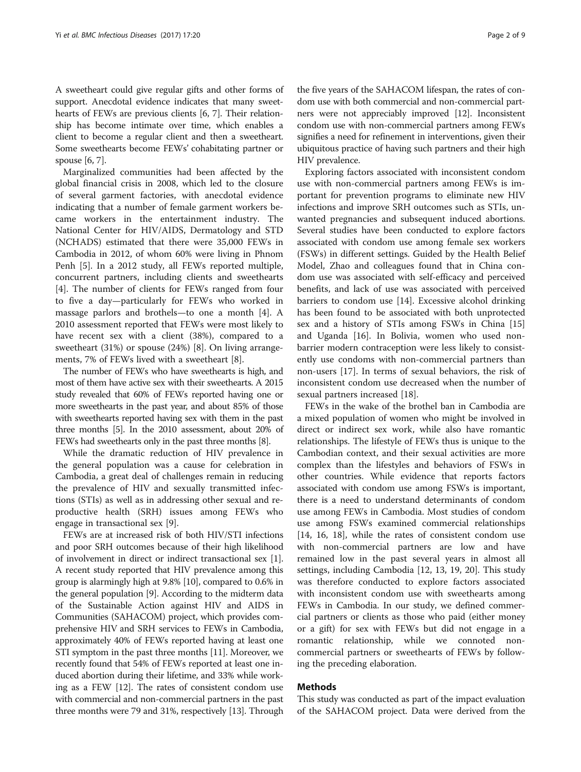A sweetheart could give regular gifts and other forms of support. Anecdotal evidence indicates that many sweet-hearts of FEWs are previous clients [[6](#page-7-0), [7\]](#page-7-0). Their relationship has become intimate over time, which enables a client to become a regular client and then a sweetheart. Some sweethearts become FEWs' cohabitating partner or spouse [\[6](#page-7-0), [7\]](#page-7-0).

Marginalized communities had been affected by the global financial crisis in 2008, which led to the closure of several garment factories, with anecdotal evidence indicating that a number of female garment workers became workers in the entertainment industry. The National Center for HIV/AIDS, Dermatology and STD (NCHADS) estimated that there were 35,000 FEWs in Cambodia in 2012, of whom 60% were living in Phnom Penh [[5\]](#page-7-0). In a 2012 study, all FEWs reported multiple, concurrent partners, including clients and sweethearts [[4\]](#page-7-0). The number of clients for FEWs ranged from four to five a day—particularly for FEWs who worked in massage parlors and brothels—to one a month [\[4](#page-7-0)]. A 2010 assessment reported that FEWs were most likely to have recent sex with a client (38%), compared to a sweetheart (31%) or spouse (24%) [\[8](#page-7-0)]. On living arrangements, 7% of FEWs lived with a sweetheart [\[8\]](#page-7-0).

The number of FEWs who have sweethearts is high, and most of them have active sex with their sweethearts. A 2015 study revealed that 60% of FEWs reported having one or more sweethearts in the past year, and about 85% of those with sweethearts reported having sex with them in the past three months [\[5](#page-7-0)]. In the 2010 assessment, about 20% of FEWs had sweethearts only in the past three months [\[8\]](#page-7-0).

While the dramatic reduction of HIV prevalence in the general population was a cause for celebration in Cambodia, a great deal of challenges remain in reducing the prevalence of HIV and sexually transmitted infections (STIs) as well as in addressing other sexual and reproductive health (SRH) issues among FEWs who engage in transactional sex [\[9\]](#page-7-0).

FEWs are at increased risk of both HIV/STI infections and poor SRH outcomes because of their high likelihood of involvement in direct or indirect transactional sex [[1](#page-7-0)]. A recent study reported that HIV prevalence among this group is alarmingly high at 9.8% [[10](#page-7-0)], compared to 0.6% in the general population [[9\]](#page-7-0). According to the midterm data of the Sustainable Action against HIV and AIDS in Communities (SAHACOM) project, which provides comprehensive HIV and SRH services to FEWs in Cambodia, approximately 40% of FEWs reported having at least one STI symptom in the past three months [[11](#page-7-0)]. Moreover, we recently found that 54% of FEWs reported at least one induced abortion during their lifetime, and 33% while working as a FEW [[12](#page-7-0)]. The rates of consistent condom use with commercial and non-commercial partners in the past three months were 79 and 31%, respectively [[13](#page-7-0)]. Through

the five years of the SAHACOM lifespan, the rates of condom use with both commercial and non-commercial partners were not appreciably improved [\[12\]](#page-7-0). Inconsistent condom use with non-commercial partners among FEWs signifies a need for refinement in interventions, given their ubiquitous practice of having such partners and their high HIV prevalence.

Exploring factors associated with inconsistent condom use with non-commercial partners among FEWs is important for prevention programs to eliminate new HIV infections and improve SRH outcomes such as STIs, unwanted pregnancies and subsequent induced abortions. Several studies have been conducted to explore factors associated with condom use among female sex workers (FSWs) in different settings. Guided by the Health Belief Model, Zhao and colleagues found that in China condom use was associated with self-efficacy and perceived benefits, and lack of use was associated with perceived barriers to condom use [[14\]](#page-7-0). Excessive alcohol drinking has been found to be associated with both unprotected sex and a history of STIs among FSWs in China [[15](#page-7-0)] and Uganda [\[16](#page-7-0)]. In Bolivia, women who used nonbarrier modern contraception were less likely to consistently use condoms with non-commercial partners than non-users [\[17\]](#page-7-0). In terms of sexual behaviors, the risk of inconsistent condom use decreased when the number of sexual partners increased [\[18\]](#page-7-0).

FEWs in the wake of the brothel ban in Cambodia are a mixed population of women who might be involved in direct or indirect sex work, while also have romantic relationships. The lifestyle of FEWs thus is unique to the Cambodian context, and their sexual activities are more complex than the lifestyles and behaviors of FSWs in other countries. While evidence that reports factors associated with condom use among FSWs is important, there is a need to understand determinants of condom use among FEWs in Cambodia. Most studies of condom use among FSWs examined commercial relationships [[14, 16](#page-7-0), [18\]](#page-7-0), while the rates of consistent condom use with non-commercial partners are low and have remained low in the past several years in almost all settings, including Cambodia [[12, 13](#page-7-0), [19](#page-7-0), [20\]](#page-7-0). This study was therefore conducted to explore factors associated with inconsistent condom use with sweethearts among FEWs in Cambodia. In our study, we defined commercial partners or clients as those who paid (either money or a gift) for sex with FEWs but did not engage in a romantic relationship, while we connoted noncommercial partners or sweethearts of FEWs by following the preceding elaboration.

# Methods

This study was conducted as part of the impact evaluation of the SAHACOM project. Data were derived from the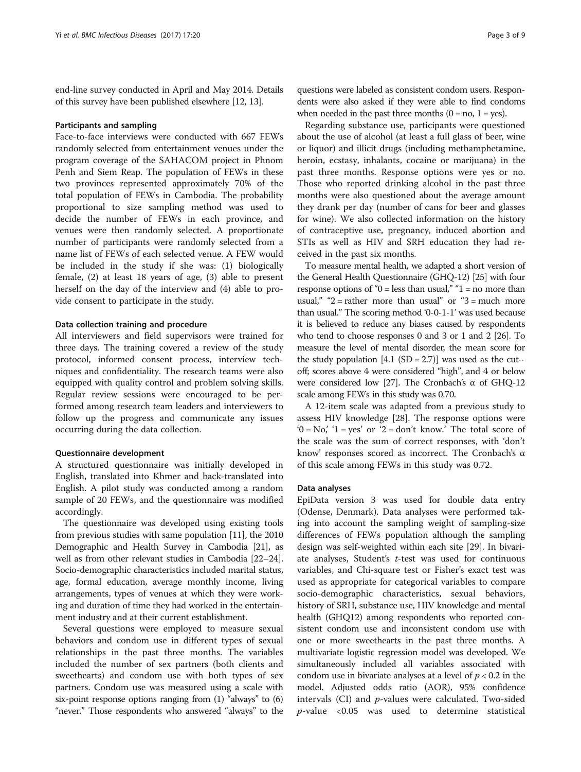end-line survey conducted in April and May 2014. Details of this survey have been published elsewhere [\[12, 13](#page-7-0)].

#### Participants and sampling

Face-to-face interviews were conducted with 667 FEWs randomly selected from entertainment venues under the program coverage of the SAHACOM project in Phnom Penh and Siem Reap. The population of FEWs in these two provinces represented approximately 70% of the total population of FEWs in Cambodia. The probability proportional to size sampling method was used to decide the number of FEWs in each province, and venues were then randomly selected. A proportionate number of participants were randomly selected from a name list of FEWs of each selected venue. A FEW would be included in the study if she was: (1) biologically female, (2) at least 18 years of age, (3) able to present herself on the day of the interview and (4) able to provide consent to participate in the study.

# Data collection training and procedure

All interviewers and field supervisors were trained for three days. The training covered a review of the study protocol, informed consent process, interview techniques and confidentiality. The research teams were also equipped with quality control and problem solving skills. Regular review sessions were encouraged to be performed among research team leaders and interviewers to follow up the progress and communicate any issues occurring during the data collection.

## Questionnaire development

A structured questionnaire was initially developed in English, translated into Khmer and back-translated into English. A pilot study was conducted among a random sample of 20 FEWs, and the questionnaire was modified accordingly.

The questionnaire was developed using existing tools from previous studies with same population [\[11\]](#page-7-0), the 2010 Demographic and Health Survey in Cambodia [\[21](#page-7-0)], as well as from other relevant studies in Cambodia [\[22](#page-7-0)–[24](#page-7-0)]. Socio-demographic characteristics included marital status, age, formal education, average monthly income, living arrangements, types of venues at which they were working and duration of time they had worked in the entertainment industry and at their current establishment.

Several questions were employed to measure sexual behaviors and condom use in different types of sexual relationships in the past three months. The variables included the number of sex partners (both clients and sweethearts) and condom use with both types of sex partners. Condom use was measured using a scale with six-point response options ranging from (1) "always" to (6) "never." Those respondents who answered "always" to the

questions were labeled as consistent condom users. Respondents were also asked if they were able to find condoms when needed in the past three months  $(0 = no, 1 = yes)$ .

Regarding substance use, participants were questioned about the use of alcohol (at least a full glass of beer, wine or liquor) and illicit drugs (including methamphetamine, heroin, ecstasy, inhalants, cocaine or marijuana) in the past three months. Response options were yes or no. Those who reported drinking alcohol in the past three months were also questioned about the average amount they drank per day (number of cans for beer and glasses for wine). We also collected information on the history of contraceptive use, pregnancy, induced abortion and STIs as well as HIV and SRH education they had received in the past six months.

To measure mental health, we adapted a short version of the General Health Questionnaire (GHQ-12) [\[25\]](#page-7-0) with four response options of " $0 =$  less than usual," " $1 =$  no more than usual," " $2$  = rather more than usual" or " $3$  = much more than usual." The scoring method '0-0-1-1' was used because it is believed to reduce any biases caused by respondents who tend to choose responses 0 and 3 or 1 and 2 [\[26\]](#page-7-0). To measure the level of mental disorder, the mean score for the study population  $[4.1 (SD = 2.7)]$  was used as the cut-off; scores above 4 were considered "high", and 4 or below were considered low [[27](#page-7-0)]. The Cronbach's  $\alpha$  of GHQ-12 scale among FEWs in this study was 0.70.

A 12-item scale was adapted from a previous study to assess HIV knowledge [\[28](#page-7-0)]. The response options were  $'0 = No'$ ,  $'1 = ves'$  or  $'2 = don't know.'$ . The total score of the scale was the sum of correct responses, with 'don't know' responses scored as incorrect. The Cronbach's α of this scale among FEWs in this study was 0.72.

## Data analyses

EpiData version 3 was used for double data entry (Odense, Denmark). Data analyses were performed taking into account the sampling weight of sampling-size differences of FEWs population although the sampling design was self-weighted within each site [[29](#page-7-0)]. In bivariate analyses, Student's  $t$ -test was used for continuous variables, and Chi-square test or Fisher's exact test was used as appropriate for categorical variables to compare socio-demographic characteristics, sexual behaviors, history of SRH, substance use, HIV knowledge and mental health (GHQ12) among respondents who reported consistent condom use and inconsistent condom use with one or more sweethearts in the past three months. A multivariate logistic regression model was developed. We simultaneously included all variables associated with condom use in bivariate analyses at a level of  $p < 0.2$  in the model. Adjusted odds ratio (AOR), 95% confidence intervals  $(CI)$  and *p*-values were calculated. Two-sided  $p$ -value <0.05 was used to determine statistical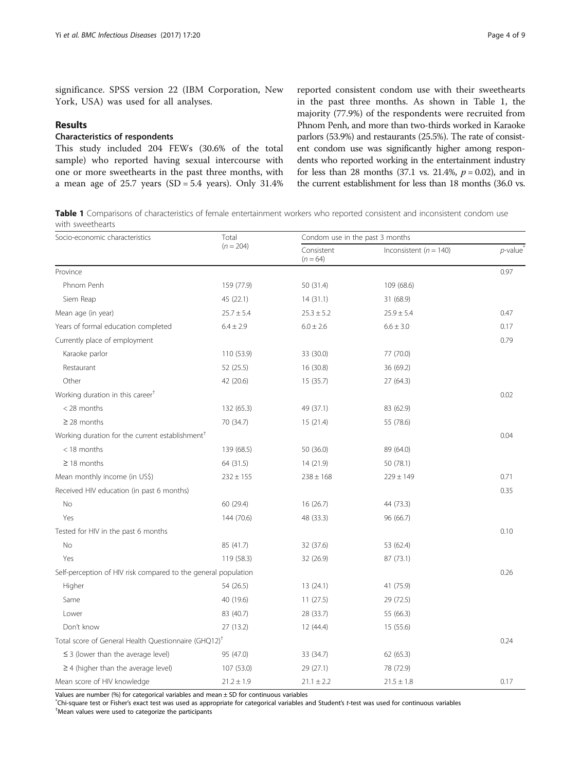<span id="page-3-0"></span>significance. SPSS version 22 (IBM Corporation, New York, USA) was used for all analyses.

## Results

# Characteristics of respondents

This study included 204 FEWs (30.6% of the total sample) who reported having sexual intercourse with one or more sweethearts in the past three months, with a mean age of  $25.7$  years (SD =  $5.4$  years). Only  $31.4\%$ 

reported consistent condom use with their sweethearts in the past three months. As shown in Table 1, the majority (77.9%) of the respondents were recruited from Phnom Penh, and more than two-thirds worked in Karaoke parlors (53.9%) and restaurants (25.5%). The rate of consistent condom use was significantly higher among respondents who reported working in the entertainment industry for less than 28 months (37.1 vs. 21.4%,  $p = 0.02$ ), and in the current establishment for less than 18 months (36.0 vs.

Table 1 Comparisons of characteristics of female entertainment workers who reported consistent and inconsistent condom use with sweethearts

| Socio-economic characteristics                                   | Total<br>$(n = 204)$ | Condom use in the past 3 months |                            |                         |  |
|------------------------------------------------------------------|----------------------|---------------------------------|----------------------------|-------------------------|--|
|                                                                  |                      | Consistent<br>$(n = 64)$        | Inconsistent ( $n = 140$ ) | $p$ -value <sup>*</sup> |  |
| Province                                                         |                      |                                 |                            | 0.97                    |  |
| Phnom Penh                                                       | 159 (77.9)           | 50 (31.4)                       | 109 (68.6)                 |                         |  |
| Siem Reap                                                        | 45 (22.1)            | 14(31.1)                        | 31 (68.9)                  |                         |  |
| Mean age (in year)                                               | $25.7 \pm 5.4$       | $25.3 \pm 5.2$                  | $25.9 \pm 5.4$             | 0.47                    |  |
| Years of formal education completed                              | $6.4 \pm 2.9$        | $6.0 \pm 2.6$                   | $6.6 \pm 3.0$              | 0.17                    |  |
| Currently place of employment                                    |                      |                                 |                            | 0.79                    |  |
| Karaoke parlor                                                   | 110 (53.9)           | 33 (30.0)                       | 77 (70.0)                  |                         |  |
| Restaurant                                                       | 52 (25.5)            | 16 (30.8)                       | 36 (69.2)                  |                         |  |
| Other                                                            | 42 (20.6)            | 15(35.7)                        | 27 (64.3)                  |                         |  |
| Working duration in this career <sup>t</sup>                     |                      |                                 |                            | 0.02                    |  |
| < 28 months                                                      | 132 (65.3)           | 49 (37.1)                       | 83 (62.9)                  |                         |  |
| $\geq$ 28 months                                                 | 70 (34.7)            | 15(21.4)                        | 55 (78.6)                  |                         |  |
| Working duration for the current establishment <sup>†</sup>      |                      |                                 |                            |                         |  |
| $<$ 18 months                                                    | 139 (68.5)           | 50 (36.0)                       | 89 (64.0)                  |                         |  |
| $\geq$ 18 months                                                 | 64 (31.5)            | 14(21.9)                        | 50 (78.1)                  |                         |  |
| Mean monthly income (in US\$)                                    | $232 \pm 155$        | $238 \pm 168$                   | $229 \pm 149$              | 0.71                    |  |
| Received HIV education (in past 6 months)                        |                      |                                 |                            | 0.35                    |  |
| No                                                               | 60 (29.4)            | 16(26.7)                        | 44 (73.3)                  |                         |  |
| Yes                                                              | 144 (70.6)           | 48 (33.3)                       | 96 (66.7)                  |                         |  |
| Tested for HIV in the past 6 months                              |                      |                                 |                            | 0.10                    |  |
| No                                                               | 85 (41.7)            | 32 (37.6)                       | 53 (62.4)                  |                         |  |
| Yes                                                              | 119 (58.3)           | 32 (26.9)                       | 87 (73.1)                  |                         |  |
| Self-perception of HIV risk compared to the general population   |                      |                                 |                            |                         |  |
| Higher                                                           | 54 (26.5)            | 13(24.1)                        | 41 (75.9)                  |                         |  |
| Same                                                             | 40 (19.6)            | 11(27.5)                        | 29 (72.5)                  |                         |  |
| Lower                                                            | 83 (40.7)            | 28 (33.7)                       | 55 (66.3)                  |                         |  |
| Don't know                                                       | 27 (13.2)            | 12 (44.4)                       | 15 (55.6)                  |                         |  |
| Total score of General Health Questionnaire (GHQ12) <sup>T</sup> |                      |                                 |                            |                         |  |
| $\leq$ 3 (lower than the average level)                          | 95 (47.0)            | 33 (34.7)                       | 62 (65.3)                  |                         |  |
| $\geq$ 4 (higher than the average level)                         | 107 (53.0)           | 29 (27.1)                       | 78 (72.9)                  |                         |  |
| Mean score of HIV knowledge                                      | $21.2 \pm 1.9$       | $21.1 \pm 2.2$                  | $21.5 \pm 1.8$             | 0.17                    |  |

Values are number (%) for categorical variables and mean  $\pm$  SD for continuous variables

\*Chi-square test or Fisher's exact test was used as appropriate for categorical variables and Student's t-test was used for continuous variables \*<br>\*Mean values were used to categorize the participants Mean values were used to categorize the participants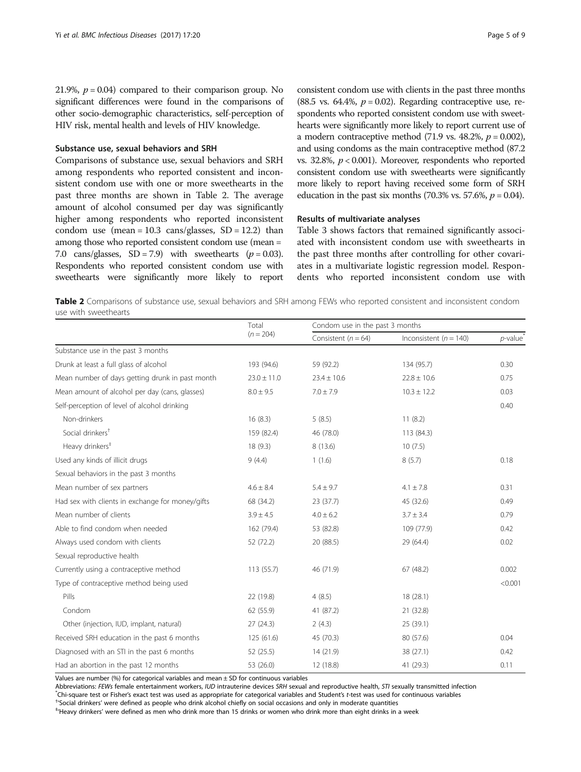21.9%,  $p = 0.04$ ) compared to their comparison group. No significant differences were found in the comparisons of other socio-demographic characteristics, self-perception of HIV risk, mental health and levels of HIV knowledge.

#### Substance use, sexual behaviors and SRH

Comparisons of substance use, sexual behaviors and SRH among respondents who reported consistent and inconsistent condom use with one or more sweethearts in the past three months are shown in Table 2. The average amount of alcohol consumed per day was significantly higher among respondents who reported inconsistent condom use  $(mean = 10.3 cans/glasses, SD = 12.2) than$ among those who reported consistent condom use (mean = 7.0 cans/glasses,  $SD = 7.9$ ) with sweethearts ( $p = 0.03$ ). Respondents who reported consistent condom use with sweethearts were significantly more likely to report

consistent condom use with clients in the past three months (88.5 vs. 64.4%,  $p = 0.02$ ). Regarding contraceptive use, respondents who reported consistent condom use with sweethearts were significantly more likely to report current use of a modern contraceptive method (71.9 vs. 48.2%,  $p = 0.002$ ), and using condoms as the main contraceptive method (87.2 vs. 32.8%,  $p < 0.001$ ). Moreover, respondents who reported consistent condom use with sweethearts were significantly more likely to report having received some form of SRH education in the past six months (70.3% vs. 57.6%,  $p = 0.04$ ).

# Results of multivariate analyses

Table [3](#page-5-0) shows factors that remained significantly associated with inconsistent condom use with sweethearts in the past three months after controlling for other covariates in a multivariate logistic regression model. Respondents who reported inconsistent condom use with

Table 2 Comparisons of substance use, sexual behaviors and SRH among FEWs who reported consistent and inconsistent condom use with sweethearts

|                                                  | Total<br>$(n = 204)$ | Condom use in the past 3 months |                            |            |  |
|--------------------------------------------------|----------------------|---------------------------------|----------------------------|------------|--|
|                                                  |                      | Consistent ( $n = 64$ )         | Inconsistent ( $n = 140$ ) | $p$ -value |  |
| Substance use in the past 3 months               |                      |                                 |                            |            |  |
| Drunk at least a full glass of alcohol           | 193 (94.6)           | 59 (92.2)                       | 134 (95.7)                 | 0.30       |  |
| Mean number of days getting drunk in past month  | $23.0 \pm 11.0$      | $23.4 \pm 10.6$                 | $22.8 \pm 10.6$            | 0.75       |  |
| Mean amount of alcohol per day (cans, glasses)   | $8.0 \pm 9.5$        | $7.0 \pm 7.9$                   | $10.3 \pm 12.2$            | 0.03       |  |
| Self-perception of level of alcohol drinking     |                      |                                 |                            | 0.40       |  |
| Non-drinkers                                     | 16(8.3)              | 5(8.5)                          | 11(8.2)                    |            |  |
| Social drinkers <sup>†</sup>                     | 159 (82.4)           | 46 (78.0)                       | 113 (84.3)                 |            |  |
| Heavy drinkers <sup>#</sup>                      | 18 (9.3)             | 8(13.6)                         | 10(7.5)                    |            |  |
| Used any kinds of illicit drugs                  | 9(4.4)               | 1(1.6)                          | 8(5.7)                     | 0.18       |  |
| Sexual behaviors in the past 3 months            |                      |                                 |                            |            |  |
| Mean number of sex partners                      | $4.6 \pm 8.4$        | $5.4 \pm 9.7$                   | $4.1 \pm 7.8$              | 0.31       |  |
| Had sex with clients in exchange for money/gifts | 68 (34.2)            | 23 (37.7)                       | 45 (32.6)                  | 0.49       |  |
| Mean number of clients                           | $3.9 \pm 4.5$        | $4.0 \pm 6.2$                   | $3.7 \pm 3.4$              | 0.79       |  |
| Able to find condom when needed                  | 162 (79.4)           | 53 (82.8)                       | 109 (77.9)                 | 0.42       |  |
| Always used condom with clients                  | 52 (72.2)            | 20 (88.5)                       | 29 (64.4)                  | 0.02       |  |
| Sexual reproductive health                       |                      |                                 |                            |            |  |
| Currently using a contraceptive method           | 113 (55.7)           | 46 (71.9)                       | 67 (48.2)                  | 0.002      |  |
| Type of contraceptive method being used          |                      |                                 |                            | < 0.001    |  |
| Pills                                            | 22 (19.8)            | 4(8.5)                          | 18(28.1)                   |            |  |
| Condom                                           | 62 (55.9)            | 41 (87.2)                       | 21 (32.8)                  |            |  |
| Other (injection, IUD, implant, natural)         | 27(24.3)             | 2(4.3)                          | 25 (39.1)                  |            |  |
| Received SRH education in the past 6 months      | 125 (61.6)           | 45 (70.3)                       | 80 (57.6)                  | 0.04       |  |
| Diagnosed with an STI in the past 6 months       | 52 (25.5)            | 14 (21.9)                       | 38 (27.1)                  | 0.42       |  |
| Had an abortion in the past 12 months            | 53 (26.0)            | 12 (18.8)                       | 41 (29.3)                  | 0.11       |  |

Values are number (%) for categorical variables and mean  $\pm$  SD for continuous variables

Abbreviations: FEWs female entertainment workers, IUD intrauterine devices SRH sexual and reproductive health, STI sexually transmitted infection

Chi-square test or Fisher's exact test was used as appropriate for categorical variables and Student'<sup>s</sup> <sup>t</sup>-test was used for continuous variables †

tisocial drinkers' were defined as people who drink alcohol chiefly on social occasions and only in moderate quantities

'Heavy drinkers' were defined as men who drink more than 15 drinks or women who drink more than eight drinks in a week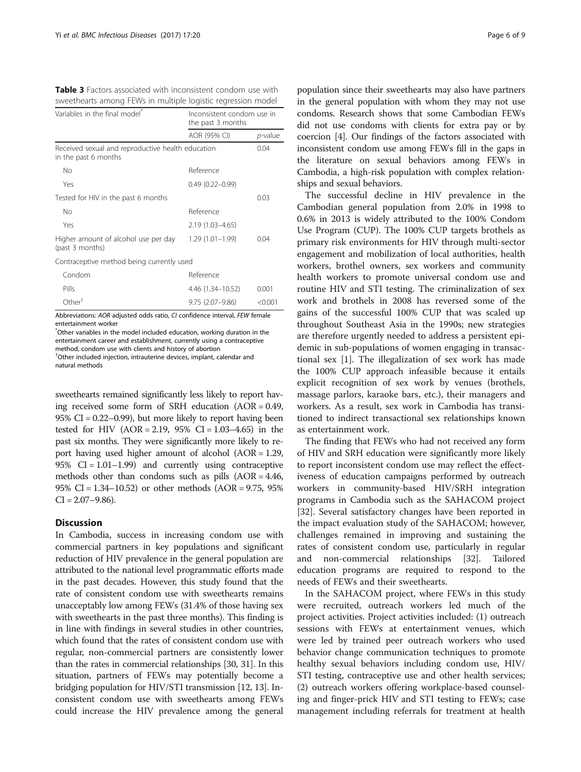<span id="page-5-0"></span>Table 3 Factors associated with inconsistent condom use with sweethearts among FEWs in multiple logistic regression model

| Variables in the final model <sup>*</sup>                                 | Inconsistent condom use in<br>the past 3 months |                 |  |  |  |  |
|---------------------------------------------------------------------------|-------------------------------------------------|-----------------|--|--|--|--|
|                                                                           | AOR (95% CI)                                    | <i>p</i> -value |  |  |  |  |
| Received sexual and reproductive health education<br>in the past 6 months |                                                 |                 |  |  |  |  |
| Nο                                                                        | Reference                                       |                 |  |  |  |  |
| Yes                                                                       | $0.49(0.22 - 0.99)$                             |                 |  |  |  |  |
| Tested for HIV in the past 6 months                                       |                                                 | 0.03            |  |  |  |  |
| No                                                                        | Reference                                       |                 |  |  |  |  |
| Yes                                                                       | 2.19 (1.03-4.65)                                |                 |  |  |  |  |
| Higher amount of alcohol use per day<br>(past 3 months)                   | $1.29(1.01 - 1.99)$                             | 0.04            |  |  |  |  |
| Contraceptive method being currently used                                 |                                                 |                 |  |  |  |  |
| Condom                                                                    | Reference                                       |                 |  |  |  |  |
| Pills                                                                     | 4.46 (1.34–10.52)                               | 0.001           |  |  |  |  |

Other† 9.75 (2.07–9.86) <0.001 Abbreviations: AOR adjusted odds ratio, CI confidence interval, FEW female entertainment worker

\* Other variables in the model included education, working duration in the entertainment career and establishment, currently using a contraceptive method, condom use with clients and history of abortion

† Other included injection, intrauterine devices, implant, calendar and natural methods

sweethearts remained significantly less likely to report having received some form of SRH education (AOR = 0.49, 95% CI = 0.22–0.99), but more likely to report having been tested for HIV  $(AOR = 2.19, 95\% \text{ CI} = 1.03-4.65)$  in the past six months. They were significantly more likely to report having used higher amount of alcohol (AOR = 1.29, 95%  $CI = 1.01 - 1.99$  and currently using contraceptive methods other than condoms such as pills  $(AOR = 4.46,$ 95% CI = 1.34–10.52) or other methods (AOR = 9.75, 95%  $CI = 2.07 - 9.86$ .

# **Discussion**

In Cambodia, success in increasing condom use with commercial partners in key populations and significant reduction of HIV prevalence in the general population are attributed to the national level programmatic efforts made in the past decades. However, this study found that the rate of consistent condom use with sweethearts remains unacceptably low among FEWs (31.4% of those having sex with sweethearts in the past three months). This finding is in line with findings in several studies in other countries, which found that the rates of consistent condom use with regular, non-commercial partners are consistently lower than the rates in commercial relationships [\[30, 31\]](#page-8-0). In this situation, partners of FEWs may potentially become a bridging population for HIV/STI transmission [[12](#page-7-0), [13\]](#page-7-0). Inconsistent condom use with sweethearts among FEWs could increase the HIV prevalence among the general

population since their sweethearts may also have partners in the general population with whom they may not use condoms. Research shows that some Cambodian FEWs did not use condoms with clients for extra pay or by coercion [\[4](#page-7-0)]. Our findings of the factors associated with inconsistent condom use among FEWs fill in the gaps in the literature on sexual behaviors among FEWs in Cambodia, a high-risk population with complex relationships and sexual behaviors.

The successful decline in HIV prevalence in the Cambodian general population from 2.0% in 1998 to 0.6% in 2013 is widely attributed to the 100% Condom Use Program (CUP). The 100% CUP targets brothels as primary risk environments for HIV through multi-sector engagement and mobilization of local authorities, health workers, brothel owners, sex workers and community health workers to promote universal condom use and routine HIV and STI testing. The criminalization of sex work and brothels in 2008 has reversed some of the gains of the successful 100% CUP that was scaled up throughout Southeast Asia in the 1990s; new strategies are therefore urgently needed to address a persistent epidemic in sub-populations of women engaging in transactional sex [[1\]](#page-7-0). The illegalization of sex work has made the 100% CUP approach infeasible because it entails explicit recognition of sex work by venues (brothels, massage parlors, karaoke bars, etc.), their managers and workers. As a result, sex work in Cambodia has transitioned to indirect transactional sex relationships known as entertainment work.

The finding that FEWs who had not received any form of HIV and SRH education were significantly more likely to report inconsistent condom use may reflect the effectiveness of education campaigns performed by outreach workers in community-based HIV/SRH integration programs in Cambodia such as the SAHACOM project [[32\]](#page-8-0). Several satisfactory changes have been reported in the impact evaluation study of the SAHACOM; however, challenges remained in improving and sustaining the rates of consistent condom use, particularly in regular and non-commercial relationships [[32\]](#page-8-0). Tailored education programs are required to respond to the needs of FEWs and their sweethearts.

In the SAHACOM project, where FEWs in this study were recruited, outreach workers led much of the project activities. Project activities included: (1) outreach sessions with FEWs at entertainment venues, which were led by trained peer outreach workers who used behavior change communication techniques to promote healthy sexual behaviors including condom use, HIV/ STI testing, contraceptive use and other health services; (2) outreach workers offering workplace-based counseling and finger-prick HIV and STI testing to FEWs; case management including referrals for treatment at health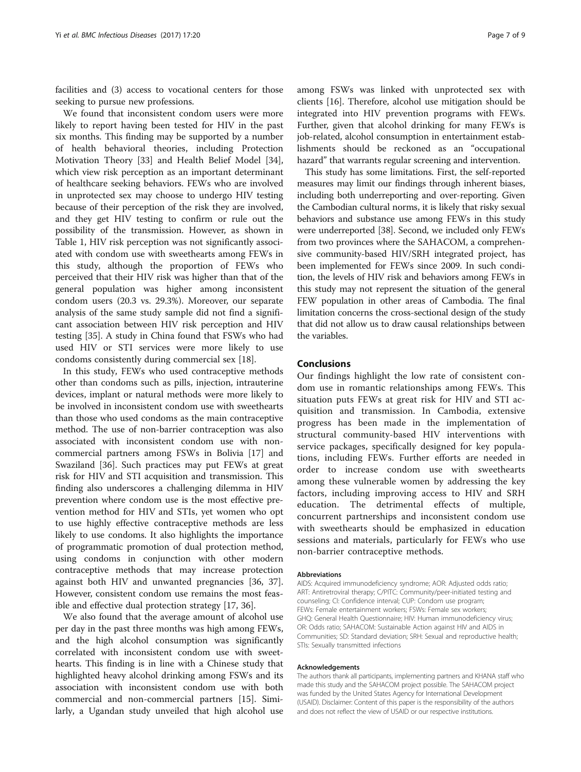facilities and (3) access to vocational centers for those seeking to pursue new professions.

We found that inconsistent condom users were more likely to report having been tested for HIV in the past six months. This finding may be supported by a number of health behavioral theories, including Protection Motivation Theory [[33\]](#page-8-0) and Health Belief Model [\[34](#page-8-0)], which view risk perception as an important determinant of healthcare seeking behaviors. FEWs who are involved in unprotected sex may choose to undergo HIV testing because of their perception of the risk they are involved, and they get HIV testing to confirm or rule out the possibility of the transmission. However, as shown in Table [1,](#page-3-0) HIV risk perception was not significantly associated with condom use with sweethearts among FEWs in this study, although the proportion of FEWs who perceived that their HIV risk was higher than that of the general population was higher among inconsistent condom users (20.3 vs. 29.3%). Moreover, our separate analysis of the same study sample did not find a significant association between HIV risk perception and HIV testing [\[35\]](#page-8-0). A study in China found that FSWs who had used HIV or STI services were more likely to use condoms consistently during commercial sex [[18](#page-7-0)].

In this study, FEWs who used contraceptive methods other than condoms such as pills, injection, intrauterine devices, implant or natural methods were more likely to be involved in inconsistent condom use with sweethearts than those who used condoms as the main contraceptive method. The use of non-barrier contraception was also associated with inconsistent condom use with noncommercial partners among FSWs in Bolivia [[17](#page-7-0)] and Swaziland [\[36\]](#page-8-0). Such practices may put FEWs at great risk for HIV and STI acquisition and transmission. This finding also underscores a challenging dilemma in HIV prevention where condom use is the most effective prevention method for HIV and STIs, yet women who opt to use highly effective contraceptive methods are less likely to use condoms. It also highlights the importance of programmatic promotion of dual protection method, using condoms in conjunction with other modern contraceptive methods that may increase protection against both HIV and unwanted pregnancies [\[36](#page-8-0), [37](#page-8-0)]. However, consistent condom use remains the most feasible and effective dual protection strategy [\[17](#page-7-0), [36](#page-8-0)].

We also found that the average amount of alcohol use per day in the past three months was high among FEWs, and the high alcohol consumption was significantly correlated with inconsistent condom use with sweethearts. This finding is in line with a Chinese study that highlighted heavy alcohol drinking among FSWs and its association with inconsistent condom use with both commercial and non-commercial partners [[15](#page-7-0)]. Similarly, a Ugandan study unveiled that high alcohol use among FSWs was linked with unprotected sex with clients [[16\]](#page-7-0). Therefore, alcohol use mitigation should be integrated into HIV prevention programs with FEWs. Further, given that alcohol drinking for many FEWs is job-related, alcohol consumption in entertainment establishments should be reckoned as an "occupational hazard" that warrants regular screening and intervention.

This study has some limitations. First, the self-reported measures may limit our findings through inherent biases, including both underreporting and over-reporting. Given the Cambodian cultural norms, it is likely that risky sexual behaviors and substance use among FEWs in this study were underreported [[38](#page-8-0)]. Second, we included only FEWs from two provinces where the SAHACOM, a comprehensive community-based HIV/SRH integrated project, has been implemented for FEWs since 2009. In such condition, the levels of HIV risk and behaviors among FEWs in this study may not represent the situation of the general FEW population in other areas of Cambodia. The final limitation concerns the cross-sectional design of the study that did not allow us to draw causal relationships between the variables.

## Conclusions

Our findings highlight the low rate of consistent condom use in romantic relationships among FEWs. This situation puts FEWs at great risk for HIV and STI acquisition and transmission. In Cambodia, extensive progress has been made in the implementation of structural community-based HIV interventions with service packages, specifically designed for key populations, including FEWs. Further efforts are needed in order to increase condom use with sweethearts among these vulnerable women by addressing the key factors, including improving access to HIV and SRH education. The detrimental effects of multiple, concurrent partnerships and inconsistent condom use with sweethearts should be emphasized in education sessions and materials, particularly for FEWs who use non-barrier contraceptive methods.

#### Abbreviations

AIDS: Acquired immunodeficiency syndrome; AOR: Adjusted odds ratio; ART: Antiretroviral therapy; C/PITC: Community/peer-initiated testing and counseling; CI: Confidence interval; CUP: Condom use program; FEWs: Female entertainment workers; FSWs: Female sex workers; GHQ: General Health Questionnaire; HIV: Human immunodeficiency virus; OR: Odds ratio; SAHACOM: Sustainable Action against HIV and AIDS in Communities; SD: Standard deviation; SRH: Sexual and reproductive health; STIs: Sexually transmitted infections

#### Acknowledgements

The authors thank all participants, implementing partners and KHANA staff who made this study and the SAHACOM project possible. The SAHACOM project was funded by the United States Agency for International Development (USAID). Disclaimer: Content of this paper is the responsibility of the authors and does not reflect the view of USAID or our respective institutions.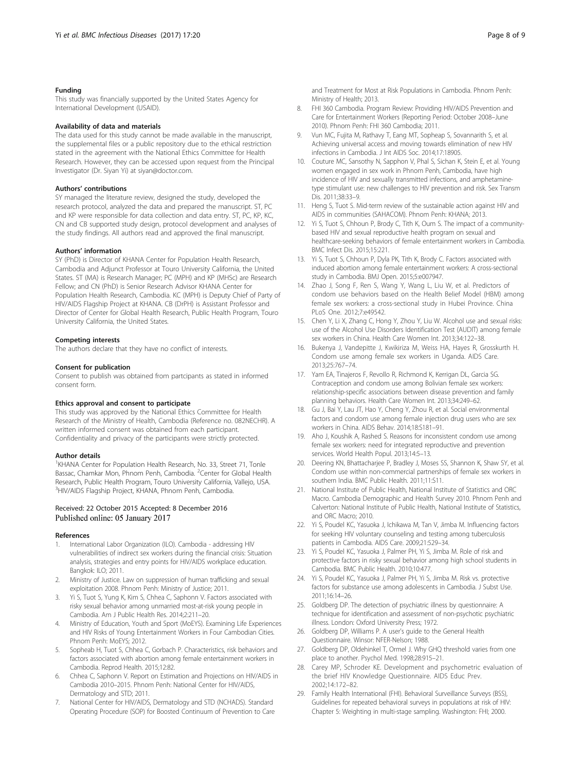### <span id="page-7-0"></span>Funding

This study was financially supported by the United States Agency for International Development (USAID).

#### Availability of data and materials

The data used for this study cannot be made available in the manuscript, the supplemental files or a public repository due to the ethical restriction stated in the agreement with the National Ethics Committee for Health Research. However, they can be accessed upon request from the Principal Investigator (Dr. Siyan Yi) at siyan@doctor.com.

#### Authors' contributions

SY managed the literature review, designed the study, developed the research protocol, analyzed the data and prepared the manuscript. ST, PC and KP were responsible for data collection and data entry. ST, PC, KP, KC, CN and CB supported study design, protocol development and analyses of the study findings. All authors read and approved the final manuscript.

#### Authors' information

SY (PhD) is Director of KHANA Center for Population Health Research, Cambodia and Adjunct Professor at Touro University California, the United States. ST (MA) is Research Manager; PC (MPH) and KP (MHSc) are Research Fellow; and CN (PhD) is Senior Research Advisor KHANA Center for Population Health Research, Cambodia. KC (MPH) is Deputy Chief of Party of HIV/AIDS Flagship Project at KHANA. CB (DrPH) is Assistant Professor and Director of Center for Global Health Research, Public Health Program, Touro University California, the United States.

#### Competing interests

The authors declare that they have no conflict of interests.

#### Consent for publication

Consent to publish was obtained from partcipants as stated in informed consent form.

#### Ethics approval and consent to participate

This study was approved by the National Ethics Committee for Health Research of the Ministry of Health, Cambodia (Reference no. 082NECHR). A written informed consent was obtained from each participant. Confidentiality and privacy of the participants were strictly protected.

#### Author details

<sup>1</sup>KHANA Center for Population Health Research, No. 33, Street 71, Tonle Bassac, Chamkar Mon, Phnom Penh, Cambodia. <sup>2</sup>Center for Global Health Research, Public Health Program, Touro University California, Vallejo, USA. 3 HIV/AIDS Flagship Project, KHANA, Phnom Penh, Cambodia.

#### Received: 22 October 2015 Accepted: 8 December 2016 Published online: 05 January 2017

#### References

- 1. International Labor Organization (ILO). Cambodia addressing HIV vulnerabilities of indirect sex workers during the financial crisis: Situation analysis, strategies and entry points for HIV/AIDS workplace education. Bangkok: ILO; 2011.
- 2. Ministry of Justice. Law on suppression of human trafficking and sexual exploitation 2008. Phnom Penh: Ministry of Justice; 2011.
- Yi S, Tuot S, Yung K, Kim S, Chhea C, Saphonn V. Factors associated with risky sexual behavior among unmarried most-at-risk young people in Cambodia. Am J Public Health Res. 2014;2:211–20.
- 4. Ministry of Education, Youth and Sport (MoEYS). Examining Life Experiences and HIV Risks of Young Entertainment Workers in Four Cambodian Cities. Phnom Penh: MoEYS; 2012.
- 5. Sopheab H, Tuot S, Chhea C, Gorbach P. Characteristics, risk behaviors and factors associated with abortion among female entertainment workers in Cambodia. Reprod Health. 2015;12:82.
- 6. Chhea C, Saphonn V. Report on Estimation and Projections on HIV/AIDS in Cambodia 2010–2015. Phnom Penh: National Center for HIV/AIDS, Dermatology and STD; 2011.
- 7. National Center for HIV/AIDS, Dermatology and STD (NCHADS). Standard Operating Procedure (SOP) for Boosted Continuum of Prevention to Care

and Treatment for Most at Risk Populations in Cambodia. Phnom Penh: Ministry of Health; 2013.

- 8. FHI 360 Cambodia. Program Review: Providing HIV/AIDS Prevention and Care for Entertainment Workers (Reporting Period: October 2008–June 2010). Phnom Penh: FHI 360 Cambodia; 2011.
- 9. Vun MC, Fujita M, Rathavy T, Eang MT, Sopheap S, Sovannarith S, et al. Achieving universal access and moving towards elimination of new HIV infections in Cambodia. J Int AIDS Soc. 2014;17:18905.
- 10. Couture MC, Sansothy N, Sapphon V, Phal S, Sichan K, Stein E, et al. Young women engaged in sex work in Phnom Penh, Cambodia, have high incidence of HIV and sexually transmitted infections, and amphetaminetype stimulant use: new challenges to HIV prevention and risk. Sex Transm Dis. 2011;38:33–9.
- 11. Heng S, Tuot S. Mid-term review of the sustainable action against HIV and AIDS in communities (SAHACOM). Phnom Penh: KHANA; 2013.
- 12. Yi S, Tuot S, Chhoun P, Brody C, Tith K, Oum S. The impact of a communitybased HIV and sexual reproductive health program on sexual and healthcare-seeking behaviors of female entertainment workers in Cambodia. BMC Infect Dis. 2015;15:221.
- 13. Yi S, Tuot S, Chhoun P, Dyla PK, Tith K, Brody C. Factors associated with induced abortion among female entertainment workers: A cross-sectional study in Cambodia. BMJ Open. 2015;5:e007947.
- 14. Zhao J, Song F, Ren S, Wang Y, Wang L, Liu W, et al. Predictors of condom use behaviors based on the Health Belief Model (HBM) among female sex workers: a cross-sectional study in Hubei Province. China PLoS One. 2012;7:e49542.
- 15. Chen Y, Li X, Zhang C, Hong Y, Zhou Y, Liu W. Alcohol use and sexual risks: use of the Alcohol Use Disorders Identification Test (AUDIT) among female sex workers in China. Health Care Women Int. 2013;34:122–38.
- 16. Bukenya J, Vandepitte J, Kwikiriza M, Weiss HA, Hayes R, Grosskurth H. Condom use among female sex workers in Uganda. AIDS Care. 2013;25:767–74.
- 17. Yam EA, Tinajeros F, Revollo R, Richmond K, Kerrigan DL, Garcia SG. Contraception and condom use among Bolivian female sex workers: relationship-specific associations between disease prevention and family planning behaviors. Health Care Women Int. 2013;34:249–62.
- 18. Gu J, Bai Y, Lau JT, Hao Y, Cheng Y, Zhou R, et al. Social environmental factors and condom use among female injection drug users who are sex workers in China. AIDS Behav. 2014;18:S181–91.
- 19. Aho J, Koushik A, Rashed S. Reasons for inconsistent condom use among female sex workers: need for integrated reproductive and prevention services. World Health Popul. 2013;14:5–13.
- 20. Deering KN, Bhattacharjee P, Bradley J, Moses SS, Shannon K, Shaw SY, et al. Condom use within non-commercial partnerships of female sex workers in southern India. BMC Public Health. 2011;11:S11.
- 21. National Institute of Public Health, National Institute of Statistics and ORC Macro. Cambodia Demographic and Health Survey 2010. Phnom Penh and Calverton: National Institute of Public Health, National Institute of Statistics, and ORC Macro; 2010.
- 22. Yi S, Poudel KC, Yasuoka J, Ichikawa M, Tan V, Jimba M. Influencing factors for seeking HIV voluntary counseling and testing among tuberculosis patients in Cambodia. AIDS Care. 2009;21:529–34.
- 23. Yi S, Poudel KC, Yasuoka J, Palmer PH, Yi S, Jimba M. Role of risk and protective factors in risky sexual behavior among high school students in Cambodia. BMC Public Health. 2010;10:477.
- 24. Yi S, Poudel KC, Yasuoka J, Palmer PH, Yi S, Jimba M. Risk vs. protective factors for substance use among adolescents in Cambodia. J Subst Use. 2011;16:14–26.
- 25. Goldberg DP. The detection of psychiatric illness by questionnaire: A technique for identification and assessment of non-psychotic psychiatric illness. London: Oxford University Press; 1972.
- 26. Goldberg DP, Williams P. A user's guide to the General Health Questionnaire. Winsor: NFER-Nelson; 1988.
- 27. Goldberg DP, Oldehinkel T, Ormel J. Why GHQ threshold varies from one place to another. Psychol Med. 1998;28:915–21.
- 28. Carey MP, Schroder KE. Development and psychometric evaluation of the brief HIV Knowledge Questionnaire. AIDS Educ Prev. 2002;14:172–82.
- 29. Family Health International (FHI). Behavioral Surveillance Surveys (BSS), Guidelines for repeated behavioral surveys in populations at risk of HIV: Chapter 5: Weighting in multi-stage sampling. Washington: FHI; 2000.